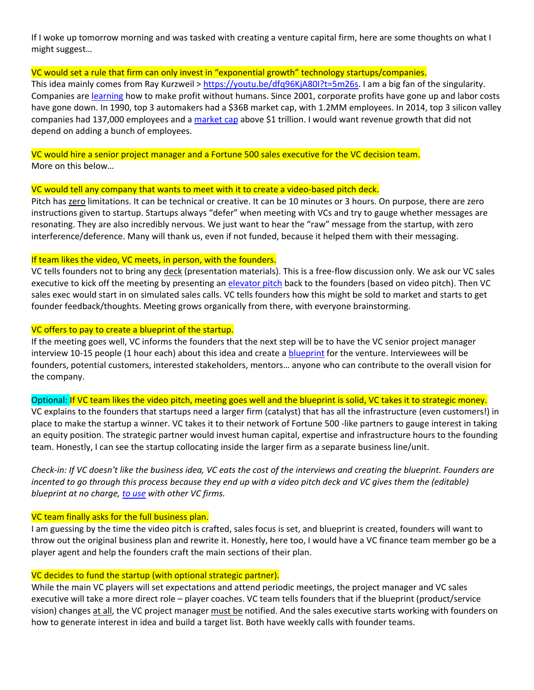If I woke up tomorrow morning and was tasked with creating a venture capital firm, here are some thoughts on what I might suggest…

## VC would set a rule that firm can only invest in "exponential growth" technology startups/companies.

This idea mainly comes from Ray Kurzweil > https://youtu.be/dfq96KjA80I?t=5m26s. I am a big fan of the singularity. Companies are learning how to make profit without humans. Since 2001, corporate profits have gone up and labor costs have gone down. In 1990, top 3 automakers had a \$36B market cap, with 1.2MM employees. In 2014, top 3 silicon valley companies had 137,000 employees and a market cap above \$1 trillion. I would want revenue growth that did not depend on adding a bunch of employees.

VC would hire a senior project manager and a Fortune 500 sales executive for the VC decision team. More on this below…

#### VC would tell any company that wants to meet with it to create a video‐based pitch deck.

Pitch has zero limitations. It can be technical or creative. It can be 10 minutes or 3 hours. On purpose, there are zero instructions given to startup. Startups always "defer" when meeting with VCs and try to gauge whether messages are resonating. They are also incredibly nervous. We just want to hear the "raw" message from the startup, with zero interference/deference. Many will thank us, even if not funded, because it helped them with their messaging.

#### If team likes the video, VC meets, in person, with the founders.

VC tells founders not to bring any deck (presentation materials). This is a free-flow discussion only. We ask our VC sales executive to kick off the meeting by presenting an elevator pitch back to the founders (based on video pitch). Then VC sales exec would start in on simulated sales calls. VC tells founders how this might be sold to market and starts to get founder feedback/thoughts. Meeting grows organically from there, with everyone brainstorming.

### VC offers to pay to create a blueprint of the startup.

If the meeting goes well, VC informs the founders that the next step will be to have the VC senior project manager interview 10-15 people (1 hour each) about this idea and create a blueprint for the venture. Interviewees will be founders, potential customers, interested stakeholders, mentors… anyone who can contribute to the overall vision for the company.

Optional: If VC team likes the video pitch, meeting goes well and the blueprint is solid, VC takes it to strategic money. VC explains to the founders that startups need a larger firm (catalyst) that has all the infrastructure (even customers!) in place to make the startup a winner. VC takes it to their network of Fortune 500 ‐like partners to gauge interest in taking an equity position. The strategic partner would invest human capital, expertise and infrastructure hours to the founding

team. Honestly, I can see the startup collocating inside the larger firm as a separate business line/unit.

*Check‐in: If VC doesn't like the business idea, VC eats the cost of the interviews and creating the blueprint. Founders are incented to go through this process because they end up with a video pitch deck and VC gives them the (editable) blueprint at no charge, to use with other VC firms.* 

### VC team finally asks for the full business plan.

I am guessing by the time the video pitch is crafted, sales focus is set, and blueprint is created, founders will want to throw out the original business plan and rewrite it. Honestly, here too, I would have a VC finance team member go be a player agent and help the founders craft the main sections of their plan.

#### VC decides to fund the startup (with optional strategic partner).

While the main VC players will set expectations and attend periodic meetings, the project manager and VC sales executive will take a more direct role – player coaches. VC team tells founders that if the blueprint (product/service vision) changes at all, the VC project manager must be notified. And the sales executive starts working with founders on how to generate interest in idea and build a target list. Both have weekly calls with founder teams.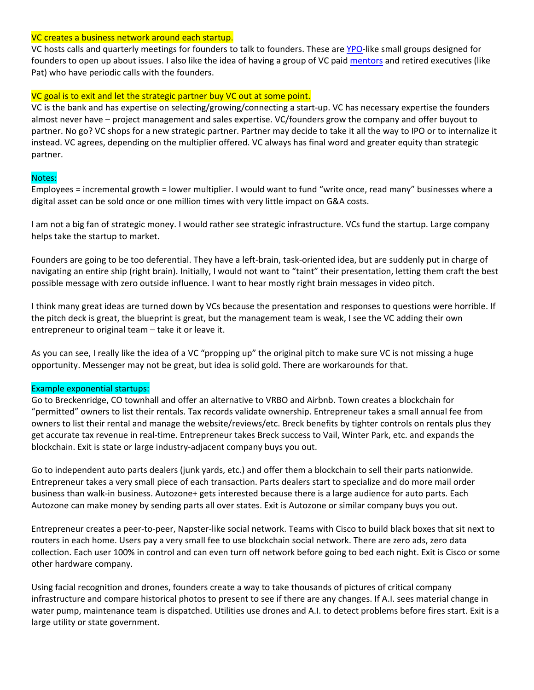#### VC creates a business network around each startup.

VC hosts calls and quarterly meetings for founders to talk to founders. These are YPO-like small groups designed for founders to open up about issues. I also like the idea of having a group of VC paid mentors and retired executives (like Pat) who have periodic calls with the founders.

# VC goal is to exit and let the strategic partner buy VC out at some point.

VC is the bank and has expertise on selecting/growing/connecting a start‐up. VC has necessary expertise the founders almost never have – project management and sales expertise. VC/founders grow the company and offer buyout to partner. No go? VC shops for a new strategic partner. Partner may decide to take it all the way to IPO or to internalize it instead. VC agrees, depending on the multiplier offered. VC always has final word and greater equity than strategic partner.

## Notes:

Employees = incremental growth = lower multiplier. I would want to fund "write once, read many" businesses where a digital asset can be sold once or one million times with very little impact on G&A costs.

I am not a big fan of strategic money. I would rather see strategic infrastructure. VCs fund the startup. Large company helps take the startup to market.

Founders are going to be too deferential. They have a left-brain, task-oriented idea, but are suddenly put in charge of navigating an entire ship (right brain). Initially, I would not want to "taint" their presentation, letting them craft the best possible message with zero outside influence. I want to hear mostly right brain messages in video pitch.

I think many great ideas are turned down by VCs because the presentation and responses to questions were horrible. If the pitch deck is great, the blueprint is great, but the management team is weak, I see the VC adding their own entrepreneur to original team – take it or leave it.

As you can see, I really like the idea of a VC "propping up" the original pitch to make sure VC is not missing a huge opportunity. Messenger may not be great, but idea is solid gold. There are workarounds for that.

## Example exponential startups:

Go to Breckenridge, CO townhall and offer an alternative to VRBO and Airbnb. Town creates a blockchain for "permitted" owners to list their rentals. Tax records validate ownership. Entrepreneur takes a small annual fee from owners to list their rental and manage the website/reviews/etc. Breck benefits by tighter controls on rentals plus they get accurate tax revenue in real‐time. Entrepreneur takes Breck success to Vail, Winter Park, etc. and expands the blockchain. Exit is state or large industry‐adjacent company buys you out.

Go to independent auto parts dealers (junk yards, etc.) and offer them a blockchain to sell their parts nationwide. Entrepreneur takes a very small piece of each transaction. Parts dealers start to specialize and do more mail order business than walk‐in business. Autozone+ gets interested because there is a large audience for auto parts. Each Autozone can make money by sending parts all over states. Exit is Autozone or similar company buys you out.

Entrepreneur creates a peer‐to‐peer, Napster‐like social network. Teams with Cisco to build black boxes that sit next to routers in each home. Users pay a very small fee to use blockchain social network. There are zero ads, zero data collection. Each user 100% in control and can even turn off network before going to bed each night. Exit is Cisco or some other hardware company.

Using facial recognition and drones, founders create a way to take thousands of pictures of critical company infrastructure and compare historical photos to present to see if there are any changes. If A.I. sees material change in water pump, maintenance team is dispatched. Utilities use drones and A.I. to detect problems before fires start. Exit is a large utility or state government.